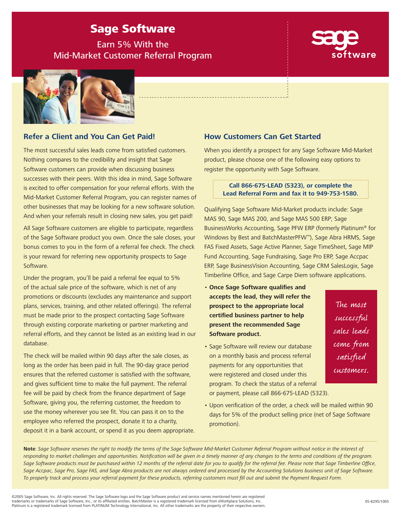# Sage Software

Earn 5% With the Mid-Market Customer Referral Program



## **Refer a Client and You Can Get Paid!**

The most successful sales leads come from satisfied customers. Nothing compares to the credibility and insight that Sage Software customers can provide when discussing business successes with their peers. With this idea in mind, Sage Software is excited to offer compensation for your referral efforts. With the Mid-Market Customer Referral Program, you can register names of other businesses that may be looking for a new software solution. And when your referrals result in closing new sales, you get paid!

All Sage Software customers are eligible to participate, regardless of the Sage Software product you own. Once the sale closes, your bonus comes to you in the form of a referral fee check. The check is your reward for referring new opportunity prospects to Sage Software.

Under the program, you'll be paid a referral fee equal to 5% of the actual sale price of the software, which is net of any promotions or discounts (excludes any maintenance and support plans, services, training, and other related offerings). The referral must be made prior to the prospect contacting Sage Software through existing corporate marketing or partner marketing and referral efforts, and they cannot be listed as an existing lead in our database.

The check will be mailed within 90 days after the sale closes, as long as the order has been paid in full. The 90-day grace period ensures that the referred customer is satisfied with the software, and gives sufficient time to make the full payment. The referral fee will be paid by check from the finance department of Sage Software, giving you, the referring customer, the freedom to use the money wherever you see fit. You can pass it on to the employee who referred the prospect, donate it to a charity, deposit it in a bank account, or spend it as you deem appropriate.

## **How Customers Can Get Started**

When you identify a prospect for any Sage Software Mid-Market product, please choose one of the following easy options to register the opportunity with Sage Software.

> **Call 866-675-LEAD (5323), or complete the Lead Referral Form and fax it to 949-753-1580.**

Qualifying Sage Software Mid-Market products include: Sage MAS 90, Sage MAS 200, and Sage MAS 500 ERP; Sage BusinessWorks Accounting, Sage PFW ERP (formerly Platinum® for Windows by Best and BatchMasterPFW™), Sage Abra HRMS, Sage FAS Fixed Assets, Sage Active Planner, Sage TimeSheet, Sage MIP Fund Accounting, Sage Fundraising, Sage Pro ERP, Sage Accpac ERP, Sage BusinessVision Accounting, Sage CRM SalesLogix, Sage Timberline Office, and Sage Carpe Diem software applications.

- **Once Sage Software qualifies and accepts the lead, they will refer the prospect to the appropriate local certified business partner to help present the recommended Sage Software product.**
- Sage Software will review our database on a monthly basis and process referral payments for any opportunities that were registered and closed under this program. To check the status of a referral or payment, please call 866-675-LEAD (5323).
- Upon verification of the order, a check will be mailed within 90 days for 5% of the product selling price (net of Sage Software promotion).

The most successful sales leads come from satisfied customers.

**Note**: Sage Software reserves the right to modify the terms of the Sage Software Mid-Market Customer Referral Program without notice in the interest of responding to market challenges and opportunities. Notification will be given in a timely manner of any changes to the terms and conditions of the program. Sage Software products must be purchased within 12 months of the referral date for you to qualify for the referral fee. Please note that Sage Timberline Office, Sage Accpac, Sage Pro, Sage FAS, and Sage Abra products are not always ordered and processed by the Accounting Solutions business unit of Sage Software. To properly track and process your referral payment for these products, referring customers must fill out and submit the Payment Request Form.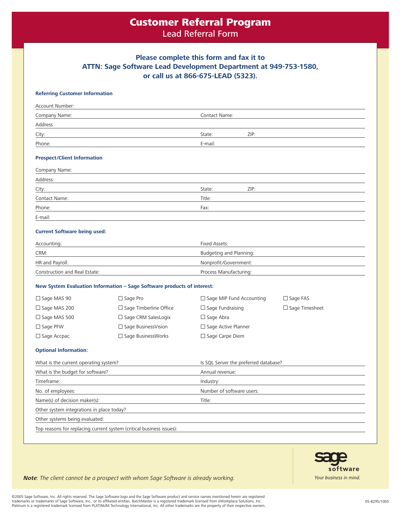## Customer Referral Program Lead Referral Form

## **Please complete this form and fax it to ATTN: Sage Software Lead Development Department at 949-753-1580, or call us at 866-675-LEAD (5323).**

### **Referring Customer Information**

| Account Number:                    |               |      |  |
|------------------------------------|---------------|------|--|
| Company Name:                      | Contact Name: |      |  |
| Address                            |               |      |  |
| City:                              | State:        | ZIP: |  |
| Phone:                             | E-mail:       |      |  |
| <b>Prospect/Client Information</b> |               |      |  |
| Company Name:                      |               |      |  |
| Address:                           |               |      |  |
| City:                              | State:        | ZIP: |  |
| Contact Name:                      | Title:        |      |  |
| Phone:                             | Fax:          |      |  |
| E-mail:                            |               |      |  |

#### **Current Software being used:**

| Accounting:                   | Fixed Assets:<br>Budgeting and Planning: |  |
|-------------------------------|------------------------------------------|--|
| CRM:                          |                                          |  |
| HR and Payroll:               | Nonprofit/Government:                    |  |
| Construction and Real Estate: | Process Manufacturing:                   |  |

#### **New System Evaluation Information – Sage Software products of interest:**

| $\Box$ Sage MAS 90  | $\Box$ Sage Pro               | $\Box$ Sage MIP Fund Accounting | $\Box$ Sage FAS       |
|---------------------|-------------------------------|---------------------------------|-----------------------|
| $\Box$ Sage MAS 200 | $\Box$ Sage Timberline Office | $\Box$ Sage Fundraising         | $\Box$ Sage Timesheet |
| $\Box$ Sage MAS 500 | $\Box$ Sage CRM SalesLogix    | $\Box$ Sage Abra                |                       |
| $\Box$ Sage PFW     | $\Box$ Sage Business Vision   | $\Box$ Sage Active Planner      |                       |
| $\Box$ Sage Accpac  | $\Box$ Sage BusinessWorks     | $\Box$ Sage Carpe Diem          |                       |

#### **Optional Information:**

| What is the current operating system?                                | Is SQL Server the preferred database? |  |
|----------------------------------------------------------------------|---------------------------------------|--|
| What is the budget for software?                                     | Annual revenue:                       |  |
| Timeframe:                                                           | Industry:                             |  |
| No. of employees:                                                    | Number of software users:             |  |
| Name(s) of decision maker(s):                                        | Title:                                |  |
| Other system integrations in place today?                            |                                       |  |
| Other systems being evaluated:                                       |                                       |  |
| Top reasons for replacing current system (critical business issues): |                                       |  |



**Note**: The client cannot be a prospect with whom Sage Software is already working.

©2005 Sage Software, Inc. All rights reserved. The Sage Software logo and the Sage Software product and service names mentioned herein are registered trademarks or trademarks of Sage Software, Inc., or its affiliated entities. BatchMaster is a registered trademark licensed from eWorkplace Solutions, Inc.<br>Platinum is a registered trademark licensed from PLATINUM Technolo